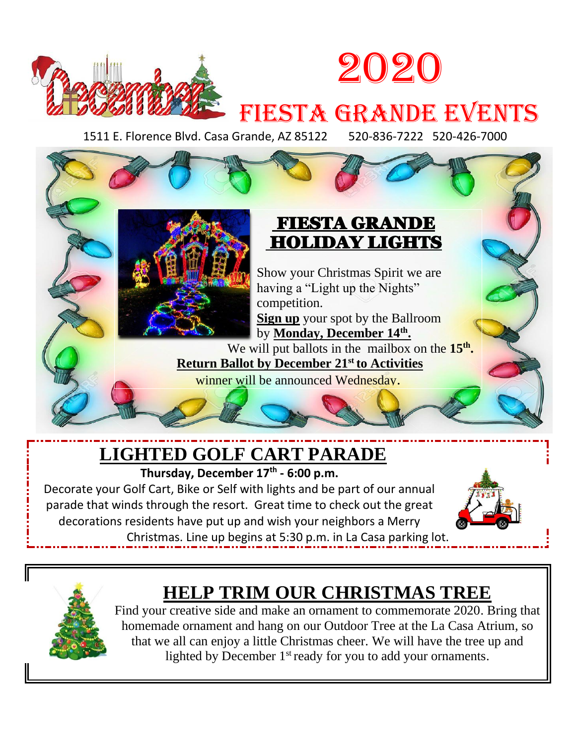



# FIESTA GRANDE EVENTS

1511 E. Florence Blvd. Casa Grande, AZ 85122 520-836-7222 520-426-7000



Show your Christmas Spirit we are having a "Light up the Nights" competition. **Sign up** your spot by the Ballroom

by **Monday, December 14th .** We will put ballots in the mailbox on the 15<sup>th</sup>. **Return Ballot by December 21st to Activities**

winner will be announced Wednesday.

## **LIGHTED GOLF CART PARADE**

**Thursday, December 17 th - 6:00 p.m.**

Decorate your Golf Cart, Bike or Self with lights and be part of our annual parade that winds through the resort. Great time to check out the great decorations residents have put up and wish your neighbors a Merry



Christmas. Line up begins at 5:30 p.m. in La Casa parking lot.



II

## **HELP TRIM OUR CHRISTMAS TREE**

Find your creative side and make an ornament to commemorate 2020. Bring that homemade ornament and hang on our Outdoor Tree at the La Casa Atrium, so that we all can enjoy a little Christmas cheer. We will have the tree up and lighted by December  $1<sup>st</sup>$  ready for you to add your ornaments.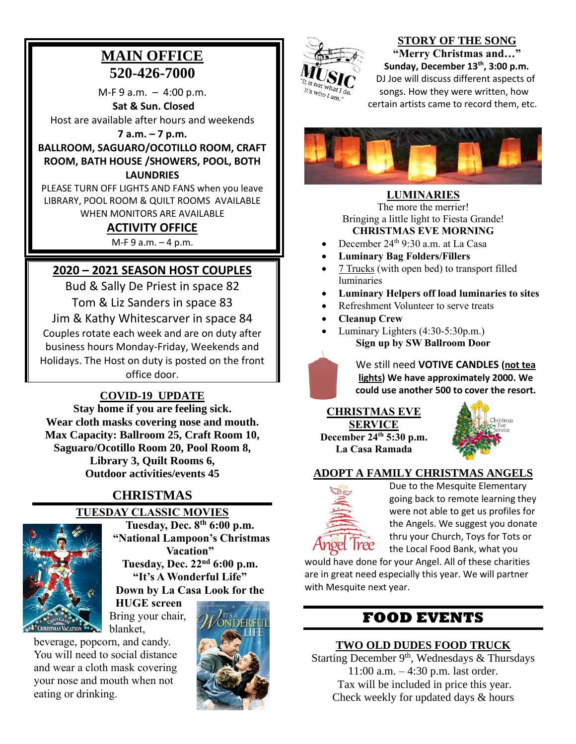## **MAIN OFFICE 520-426-7000**

 $M-F 9 a.m. - 4:00 p.m.$ **Sat & Sun. Closed**  Host are available after hours and weekends

**7 a.m. – 7 p.m.**

**BALLROOM, SAGUARO/OCOTILLO ROOM, CRAFT ROOM, BATH HOUSE /SHOWERS, POOL, BOTH LAUNDRIES**

PLEASE TURN OFF LIGHTS AND FANS when you leave LIBRARY, POOL ROOM & QUILT ROOMS AVAILABLE WHEN MONITORS ARE AVAILABLE

#### **ACTIVITY OFFICE**

M-F 9 a.m. – 4 p.m.

#### **2020 – 2021 SEASON HOST COUPLES**

Bud & Sally De Priest in space 82 Tom & Liz Sanders in space 83 Jim & Kathy Whitescarver in space 84 Couples rotate each week and are on duty after business hours Monday-Friday, Weekends and

Holidays. The Host on duty is posted on the front office door.

#### **COVID-19 UPDATE**

**Stay home if you are feeling sick. Wear cloth masks covering nose and mouth. Max Capacity: Ballroom 25, Craft Room 10, Saguaro/Ocotillo Room 20, Pool Room 8, Library 3, Quilt Rooms 6, Outdoor activities/events 45**

## **CHRISTMAS**

#### **TUESDAY CLASSIC MOVIES**



**Tuesday, Dec. 8th 6:00 p.m. "National Lampoon's Christmas Vacation" Tuesday, Dec. 22nd 6:00 p.m. "It's A Wonderful Life"**

**Down by La Casa Look for the** 

**HUGE screen** Bring your chair,

beverage, popcorn, and candy. You will need to social distance and wear a cloth mask covering your nose and mouth when not eating or drinking.





#### **STORY OF THE SONG "Merry Christmas and…"**

**Sunday, December 13th , 3:00 p.m.** DJ Joe will discuss different aspects of songs. How they were written, how certain artists came to record them, etc.



#### **LUMINARIES**

The more the merrier! Bringing a little light to Fiesta Grande! **CHRISTMAS EVE MORNING**

- December 24th 9:30 a.m. at La Casa
- **Luminary Bag Folders/Fillers**
- 7 Trucks (with open bed) to transport filled luminaries
- **Luminary Helpers off load luminaries to sites**
- Refreshment Volunteer to serve treats
- **Cleanup Crew**
- Luminary Lighters (4:30-5:30p.m.) **Sign up by SW Ballroom Door**



We still need **VOTIVE CANDLES (not tea lights) We have approximately 2000. We could use another 500 to cover the resort.**

**CHRISTMAS EVE SERVICE December 24th 5:30 p.m. La Casa Ramada**



#### **ADOPT A FAMILY CHRISTMAS ANGELS**



Due to the Mesquite Elementary going back to remote learning they were not able to get us profiles for the Angels. We suggest you donate thru your Church, Toys for Tots or the Local Food Bank, what you

would have done for your Angel. All of these charities are in great need especially this year. We will partner with Mesquite next year.

## **FOOD EVENTS**

#### **TWO OLD DUDES FOOD TRUCK**

Starting December 9<sup>th</sup>, Wednesdays & Thursdays 11:00 a.m. – 4:30 p.m. last order. Tax will be included in price this year. Check weekly for updated days & hours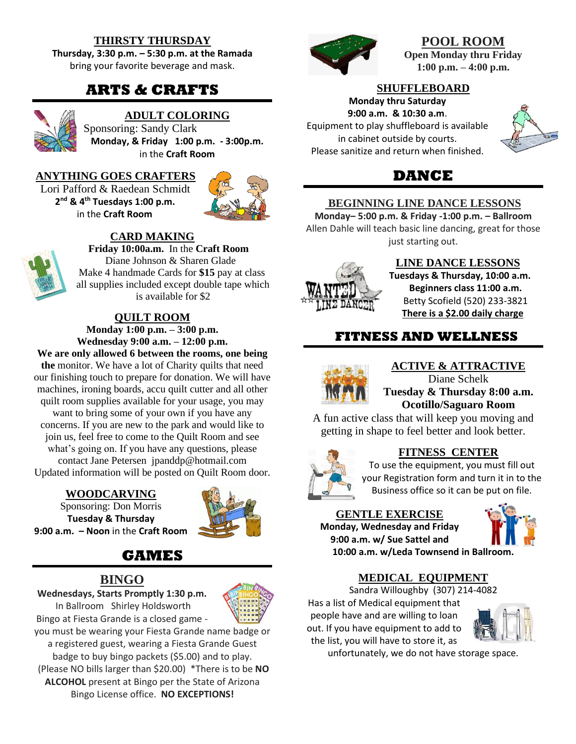#### **THIRSTY THURSDAY**

**Thursday, 3:30 p.m. – 5:30 p.m. at the Ramada** bring your favorite beverage and mask.

## **ARTS & CRAFTS**



#### **ADULT COLORING**

Sponsoring: Sandy Clark **Monday, & Friday 1:00 p.m. - 3:00p.m.** in the **Craft Room**

#### **ANYTHING GOES CRAFTERS**

Lori Pafford & Raedean Schmidt **2 nd & 4th Tuesdays 1:00 p.m.** in the **Craft Room**



#### **CARD MAKING**

**Friday 10:00a.m.** In the **Craft Room** Diane Johnson & Sharen Glade Make 4 handmade Cards for **\$15** pay at class all supplies included except double tape which is available for \$2

#### **QUILT ROOM**

**Monday 1:00 p.m. – 3:00 p.m. Wednesday 9:00 a.m. – 12:00 p.m.**

**We are only allowed 6 between the rooms, one being the** monitor. We have a lot of Charity quilts that need our finishing touch to prepare for donation. We will have machines, ironing boards, accu quilt cutter and all other quilt room supplies available for your usage, you may want to bring some of your own if you have any concerns. If you are new to the park and would like to join us, feel free to come to the Quilt Room and see what's going on. If you have any questions, please

contact Jane Petersen [jpanddp@hotmail.com](mailto:jpanddp@hotmail.com) Updated information will be posted on Quilt Room door.

**WOODCARVING**

Sponsoring: Don Morris **Tuesday & Thursday 9:00 a.m. – Noon** in the **Craft Room**



## **GAMES**

#### **BINGO**

**Wednesdays, Starts Promptly 1:30 p.m.**

In Ballroom Shirley Holdsworth Bingo at Fiesta Grande is a closed game -



you must be wearing your Fiesta Grande name badge or a registered guest, wearing a Fiesta Grande Guest badge to buy bingo packets (\$5.00) and to play. (Please NO bills larger than \$20.00) \*There is to be **NO ALCOHOL** present at Bingo per the State of Arizona Bingo License office. **NO EXCEPTIONS!**



#### **POOL ROOM Open Monday thru Friday 1:00 p.m. – 4:00 p.m.**

**SHUFFLEBOARD**

**Monday thru Saturday 9:00 a.m. & 10:30 a.m**. Equipment to play shuffleboard is available in cabinet outside by courts. Please sanitize and return when finished.



## **DANCE**

#### **BEGINNING LINE DANCE LESSONS**

**Monday– 5:00 p.m. & Friday -1:00 p.m. – Ballroom** Allen Dahle will teach basic line dancing, great for those just starting out.



#### **LINE DANCE LESSONS**

**Tuesdays & Thursday, 10:00 a.m. Beginners class 11:00 a.m.** Betty Scofield (520) 233-3821 **There is a \$2.00 daily charge**

#### **FITNESS AND WELLNESS**



#### **ACTIVE & ATTRACTIVE**

Diane Schelk **Tuesday & Thursday 8:00 a.m. Ocotillo/Saguaro Room**

A fun active class that will keep you moving and getting in shape to feel better and look better.

## **FITNESS CENTER**

To use the equipment, you must fill out your Registration form and turn it in to the Business office so it can be put on file.

#### **GENTLE EXERCISE Monday, Wednesday and Friday**

**9:00 a.m. w/ Sue Sattel and 10:00 a.m. w/Leda Townsend in Ballroom.**



## **MEDICAL EQUIPMENT**

Sandra Willoughby (307) 214-4082 Has a list of Medical equipment that people have and are willing to loan

out. If you have equipment to add to the list, you will have to store it, as



unfortunately, we do not have storage space.